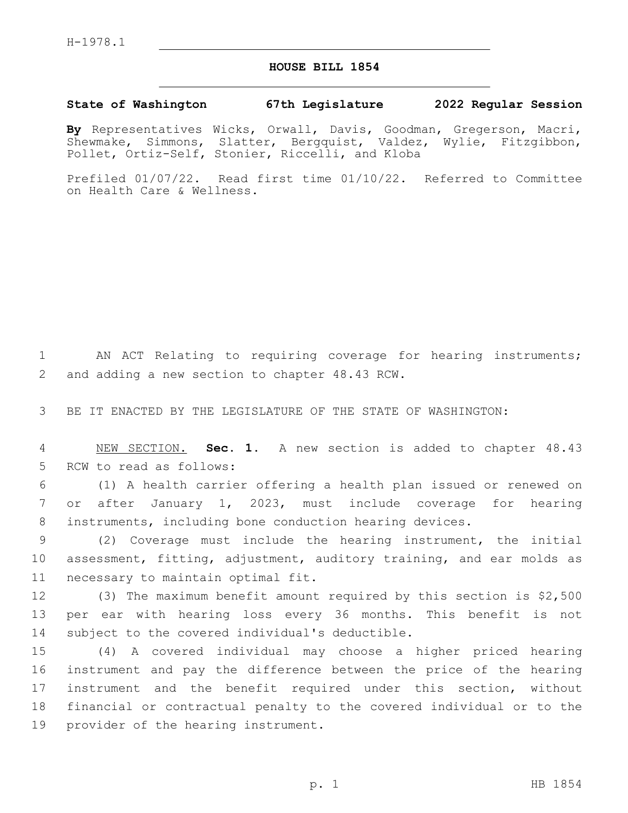## **HOUSE BILL 1854**

## **State of Washington 67th Legislature 2022 Regular Session**

**By** Representatives Wicks, Orwall, Davis, Goodman, Gregerson, Macri, Shewmake, Simmons, Slatter, Bergquist, Valdez, Wylie, Fitzgibbon, Pollet, Ortiz-Self, Stonier, Riccelli, and Kloba

Prefiled 01/07/22. Read first time 01/10/22. Referred to Committee on Health Care & Wellness.

1 AN ACT Relating to requiring coverage for hearing instruments; 2 and adding a new section to chapter 48.43 RCW.

3 BE IT ENACTED BY THE LEGISLATURE OF THE STATE OF WASHINGTON:

4 NEW SECTION. **Sec. 1.** A new section is added to chapter 48.43 5 RCW to read as follows:

6 (1) A health carrier offering a health plan issued or renewed on 7 or after January 1, 2023, must include coverage for hearing 8 instruments, including bone conduction hearing devices.

9 (2) Coverage must include the hearing instrument, the initial 10 assessment, fitting, adjustment, auditory training, and ear molds as 11 necessary to maintain optimal fit.

12 (3) The maximum benefit amount required by this section is \$2,500 13 per ear with hearing loss every 36 months. This benefit is not 14 subject to the covered individual's deductible.

 (4) A covered individual may choose a higher priced hearing instrument and pay the difference between the price of the hearing instrument and the benefit required under this section, without financial or contractual penalty to the covered individual or to the 19 provider of the hearing instrument.